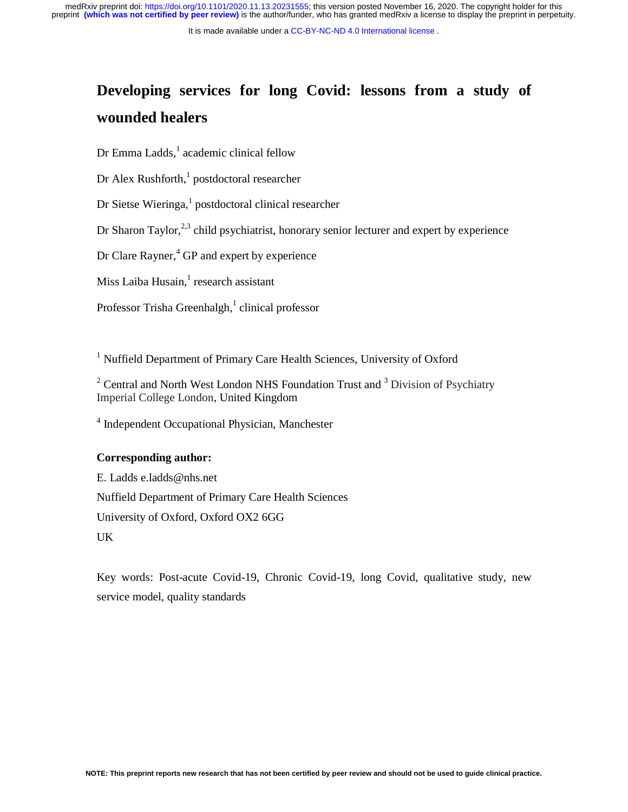## **Developing services for long Covid: lessons from a study of wounded healers**

Dr Emma Ladds, $^1$  academic clinical fellow

Dr Alex Rushforth,<sup>1</sup> postdoctoral researcher

Dr Sietse Wieringa,<sup>1</sup> postdoctoral clinical researcher

Dr Sharon Taylor, $2,3$  child psychiatrist, honorary senior lecturer and expert by experience

Dr Clare Rayner,<sup>4</sup> GP and expert by experience

Miss Laiba Husain,<sup>1</sup> research assistant

Professor Trisha Greenhalgh,<sup>1</sup> clinical professor

<sup>1</sup> Nuffield Department of Primary Care Health Sciences, University of Oxford

<sup>2</sup> Central and North West London NHS Foundation Trust and <sup>3</sup> Division of Psychiatry Imperial College London, United Kingdom

4 Independent Occupational Physician, Manchester

#### **Corresponding author:**

E. Ladds e.ladds@nhs.net Nuffield Department of Primary Care Health Sciences University of Oxford, Oxford OX2 6GG UK

Key words: Post-acute Covid-19, Chronic Covid-19, long Covid, qualitative study, new service model, quality standards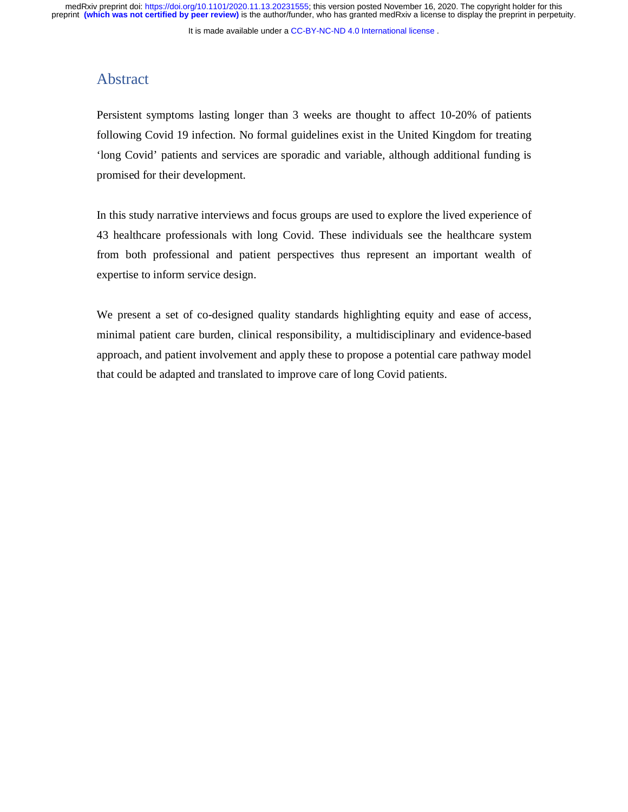## Abstract

Persistent symptoms lasting longer than 3 weeks are thought to affect 10-20% of patients following Covid 19 infection. No formal guidelines exist in the United Kingdom for treating 'long Covid' patients and services are sporadic and variable, although additional funding is promised for their development.

In this study narrative interviews and focus groups are used to explore the lived experience of 43 healthcare professionals with long Covid. These individuals see the healthcare system from both professional and patient perspectives thus represent an important wealth of expertise to inform service design.

We present a set of co-designed quality standards highlighting equity and ease of access, minimal patient care burden, clinical responsibility, a multidisciplinary and evidence-based approach, and patient involvement and apply these to propose a potential care pathway model that could be adapted and translated to improve care of long Covid patients.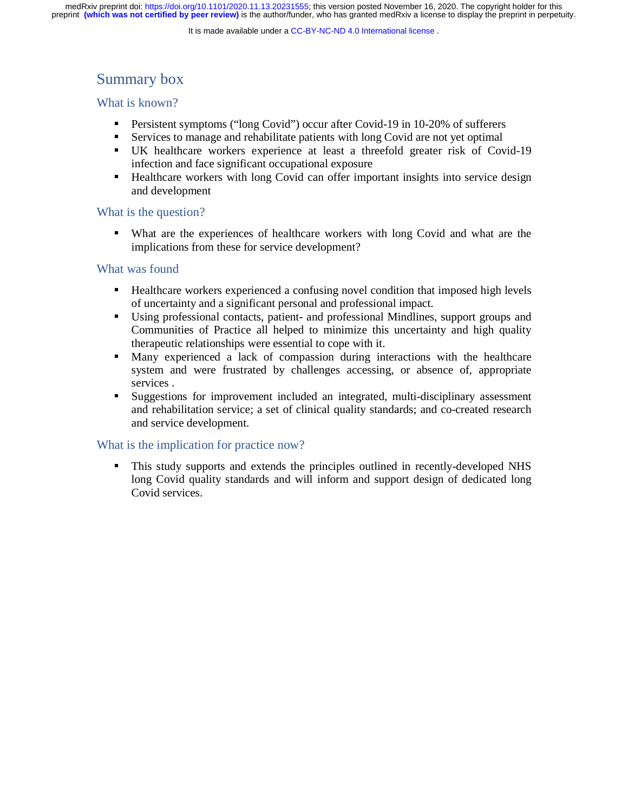## Summary box

## What is known?

- 
- Persistent symptoms ("long Covid") occur after Covid-19 in 10-20% of sufferers<br>
Pervices to manage and rehabilitate patients with long Covid are not yet optimal<br>
FIK healthcare workers experience at least a threefold great
- Services to manage and rehabilitate patients with long Covid are not yet optimal<br>UK healthcare workers experience at least a threefold greater risk of Cov UK healthcare workers experience at least a threefold greater risk of Covid-19 infection and face significant occupational exposure
- Healthcare workers with long Covid can offer important insights into service design and development

## What is the question?

 What are the experiences of healthcare workers with long Covid and what are the implications from these for service development?

## What was found

- Healthcare workers experienced a confusing novel condition that imposed high levels of uncertainty and a significant personal and professional impact.<br>• Using professional contacts, patient- and professional Mindlines, s of uncertainty and a significant personal and professional impact.
- Using professional contacts, patient- and professional Mindlines, support groups and Communities of Practice all helped to minimize this uncertainty and high quality therapeutic relationships were essential to cope with it.
- Many experienced a lack of compassion during interactions with the healthcare system and were frustrated by challenges accessing, or absence of, appropriate services .
- Suggestions for improvement included an integrated, multi-disciplinary assessment and rehabilitation service; a set of clinical quality standards; and co-created research and service development.

## What is the implication for practice now?

 This study supports and extends the principles outlined in recently-developed NHS long Covid quality standards and will inform and support design of dedicated long Covid services.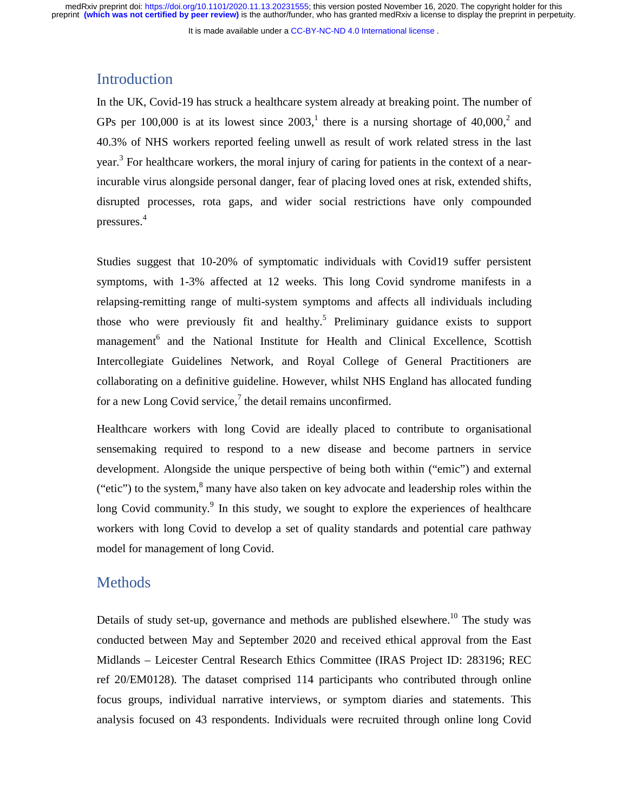It is made available under a CC-BY-NC-ND 4.0 International license.

## Introduction

In the UK, Covid-19 has struck a healthcare system already at breaking point. The number of GPs per 100,000 is at its lowest since  $2003$ ,<sup>1</sup> there is a nursing shortage of  $40,000$ ,<sup>2</sup> and 40.3% of NHS workers reported feeling unwell as result of work related stress in the last year.<sup>3</sup> For healthcare workers, the moral injury of caring for patients in the context of a nearincurable virus alongside personal danger, fear of placing loved ones at risk, extended shifts, disrupted processes, rota gaps, and wider social restrictions have only compounded pressures. 4

Studies suggest that 10-20% of symptomatic individuals with Covid19 suffer persistent symptoms, with 1-3% affected at 12 weeks. This long Covid syndrome manifests in a relapsing-remitting range of multi-system symptoms and affects all individuals including those who were previously fit and healthy.<sup>5</sup> Preliminary guidance exists to support management<sup>6</sup> and the National Institute for Health and Clinical Excellence, Scottish Intercollegiate Guidelines Network, and Royal College of General Practitioners are collaborating on a definitive guideline. However, whilst NHS England has allocated funding for a new Long Covid service, $\frac{7}{1}$  the detail remains unconfirmed.

Healthcare workers with long Covid are ideally placed to contribute to organisational sensemaking required to respond to a new disease and become partners in service development. Alongside the unique perspective of being both within ("emic") and external ("etic") to the system, ${}^{8}$  many have also taken on key advocate and leadership roles within the long Covid community.<sup>9</sup> In this study, we sought to explore the experiences of healthcare workers with long Covid to develop a set of quality standards and potential care pathway model for management of long Covid.

## **Methods**

Details of study set-up, governance and methods are published elsewhere.<sup>10</sup> The study was conducted between May and September 2020 and received ethical approval from the East Midlands – Leicester Central Research Ethics Committee (IRAS Project ID: 283196; REC ref 20/EM0128). The dataset comprised 114 participants who contributed through online focus groups, individual narrative interviews, or symptom diaries and statements. This analysis focused on 43 respondents. Individuals were recruited through online long Covid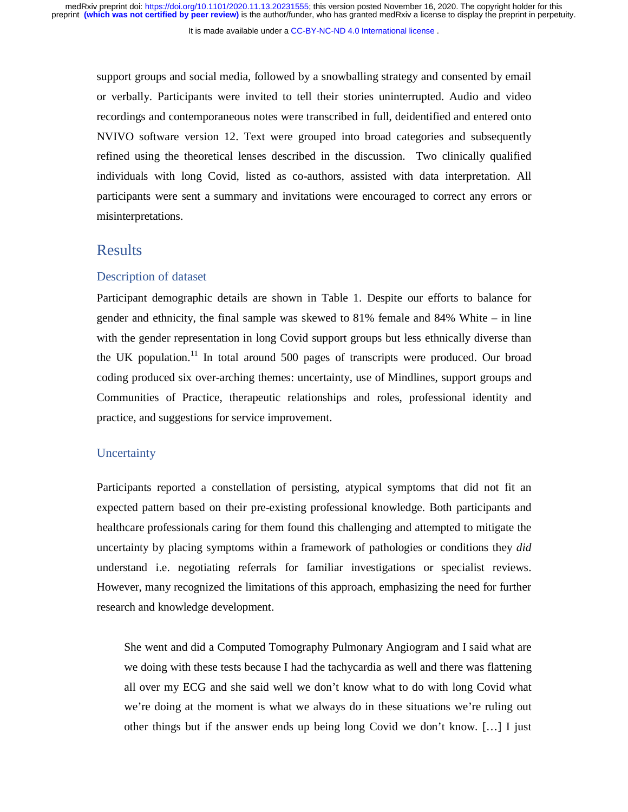It is made available under a [CC-BY-NC-ND 4.0 International license](http://creativecommons.org/licenses/by-nc-nd/4.0/) .

support groups and social media, followed by a snowballing strategy and consented by email or verbally. Participants were invited to tell their stories uninterrupted. Audio and video recordings and contemporaneous notes were transcribed in full, deidentified and entered onto NVIVO software version 12. Text were grouped into broad categories and subsequently refined using the theoretical lenses described in the discussion. Two clinically qualified individuals with long Covid, listed as co-authors, assisted with data interpretation. All participants were sent a summary and invitations were encouraged to correct any errors or misinterpretations.

## Results

#### Description of dataset

Participant demographic details are shown in Table 1. Despite our efforts to balance for gender and ethnicity, the final sample was skewed to  $81\%$  female and  $84\%$  White – in line with the gender representation in long Covid support groups but less ethnically diverse than the UK population.<sup>11</sup> In total around 500 pages of transcripts were produced. Our broad coding produced six over-arching themes: uncertainty, use of Mindlines, support groups and Communities of Practice, therapeutic relationships and roles, professional identity and practice, and suggestions for service improvement.

#### **Uncertainty**

Participants reported a constellation of persisting, atypical symptoms that did not fit an expected pattern based on their pre-existing professional knowledge. Both participants and healthcare professionals caring for them found this challenging and attempted to mitigate the uncertainty by placing symptoms within a framework of pathologies or conditions they *did*  understand i.e. negotiating referrals for familiar investigations or specialist reviews. However, many recognized the limitations of this approach, emphasizing the need for further research and knowledge development.

She went and did a Computed Tomography Pulmonary Angiogram and I said what are we doing with these tests because I had the tachycardia as well and there was flattening all over my ECG and she said well we don't know what to do with long Covid what we're doing at the moment is what we always do in these situations we're ruling out other things but if the answer ends up being long Covid we don't know. […] I just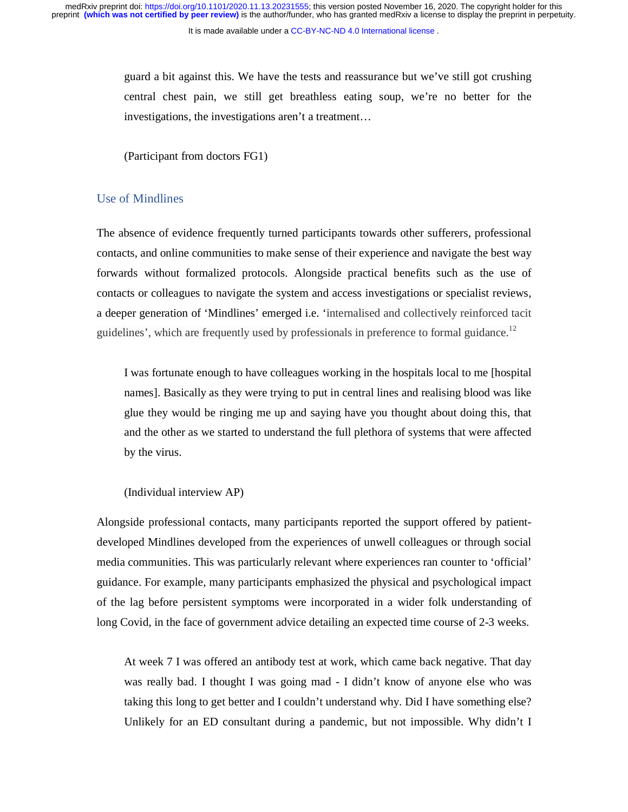guard a bit against this. We have the tests and reassurance but we've still got crushing central chest pain, we still get breathless eating soup, we're no better for the investigations, the investigations aren't a treatment…

(Participant from doctors FG1)

#### Use of Mindlines

The absence of evidence frequently turned participants towards other sufferers, professional contacts, and online communities to make sense of their experience and navigate the best way forwards without formalized protocols. Alongside practical benefits such as the use of contacts or colleagues to navigate the system and access investigations or specialist reviews, a deeper generation of 'Mindlines' emerged i.e. 'internalised and collectively reinforced tacit guidelines', which are frequently used by professionals in preference to formal guidance.<sup>12</sup>

I was fortunate enough to have colleagues working in the hospitals local to me [hospital names]. Basically as they were trying to put in central lines and realising blood was like glue they would be ringing me up and saying have you thought about doing this, that and the other as we started to understand the full plethora of systems that were affected by the virus.

#### (Individual interview AP)

Alongside professional contacts, many participants reported the support offered by patientdeveloped Mindlines developed from the experiences of unwell colleagues or through social media communities. This was particularly relevant where experiences ran counter to 'official' guidance. For example, many participants emphasized the physical and psychological impact of the lag before persistent symptoms were incorporated in a wider folk understanding of long Covid, in the face of government advice detailing an expected time course of 2-3 weeks.

At week 7 I was offered an antibody test at work, which came back negative. That day was really bad. I thought I was going mad - I didn't know of anyone else who was taking this long to get better and I couldn't understand why. Did I have something else? Unlikely for an ED consultant during a pandemic, but not impossible. Why didn't I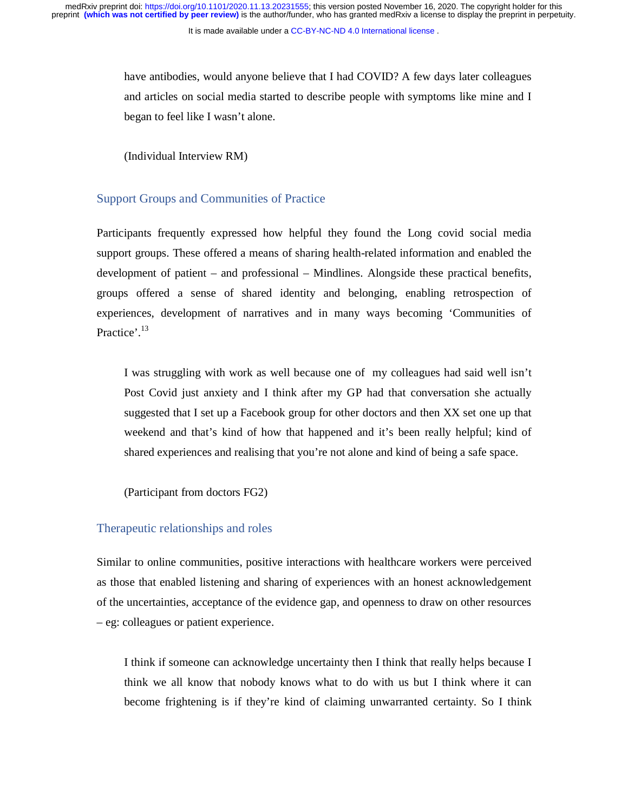have antibodies, would anyone believe that I had COVID? A few days later colleagues and articles on social media started to describe people with symptoms like mine and I began to feel like I wasn't alone.

(Individual Interview RM)

#### Support Groups and Communities of Practice

Participants frequently expressed how helpful they found the Long covid social media support groups. These offered a means of sharing health-related information and enabled the development of patient – and professional – Mindlines. Alongside these practical benefits, groups offered a sense of shared identity and belonging, enabling retrospection of experiences, development of narratives and in many ways becoming 'Communities of Practice'.<sup>13</sup>

I was struggling with work as well because one of my colleagues had said well isn't Post Covid just anxiety and I think after my GP had that conversation she actually suggested that I set up a Facebook group for other doctors and then XX set one up that weekend and that's kind of how that happened and it's been really helpful; kind of shared experiences and realising that you're not alone and kind of being a safe space.

(Participant from doctors FG2)

## Therapeutic relationships and roles

Similar to online communities, positive interactions with healthcare workers were perceived as those that enabled listening and sharing of experiences with an honest acknowledgement of the uncertainties, acceptance of the evidence gap, and openness to draw on other resources – eg: colleagues or patient experience.

I think if someone can acknowledge uncertainty then I think that really helps because I think we all know that nobody knows what to do with us but I think where it can become frightening is if they're kind of claiming unwarranted certainty. So I think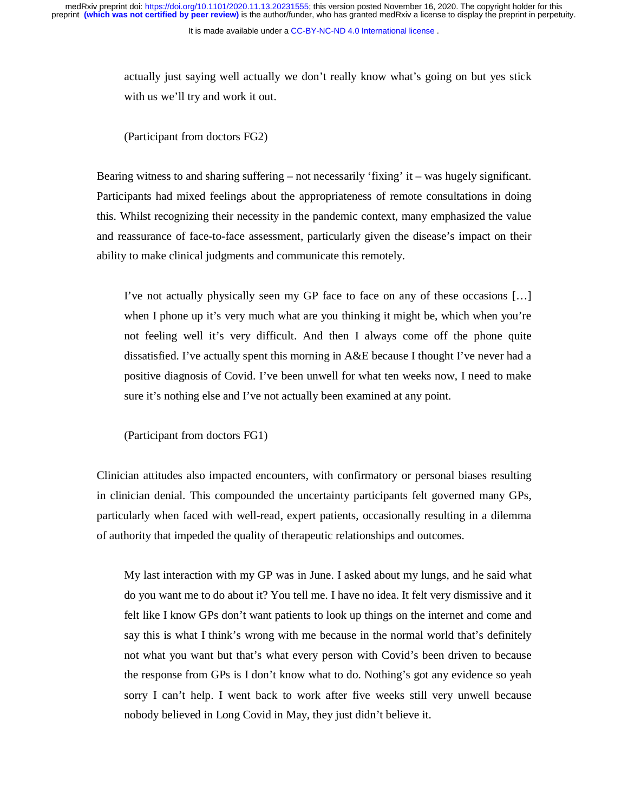It is made available under a [CC-BY-NC-ND 4.0 International license](http://creativecommons.org/licenses/by-nc-nd/4.0/) .

actually just saying well actually we don't really know what's going on but yes stick with us we'll try and work it out.

(Participant from doctors FG2)

Bearing witness to and sharing suffering – not necessarily 'fixing' it – was hugely significant. Participants had mixed feelings about the appropriateness of remote consultations in doing this. Whilst recognizing their necessity in the pandemic context, many emphasized the value and reassurance of face-to-face assessment, particularly given the disease's impact on their ability to make clinical judgments and communicate this remotely.

I've not actually physically seen my GP face to face on any of these occasions […] when I phone up it's very much what are you thinking it might be, which when you're not feeling well it's very difficult. And then I always come off the phone quite dissatisfied. I've actually spent this morning in A&E because I thought I've never had a positive diagnosis of Covid. I've been unwell for what ten weeks now, I need to make sure it's nothing else and I've not actually been examined at any point.

(Participant from doctors FG1)

Clinician attitudes also impacted encounters, with confirmatory or personal biases resulting in clinician denial. This compounded the uncertainty participants felt governed many GPs, particularly when faced with well-read, expert patients, occasionally resulting in a dilemma of authority that impeded the quality of therapeutic relationships and outcomes.

My last interaction with my GP was in June. I asked about my lungs, and he said what do you want me to do about it? You tell me. I have no idea. It felt very dismissive and it felt like I know GPs don't want patients to look up things on the internet and come and say this is what I think's wrong with me because in the normal world that's definitely not what you want but that's what every person with Covid's been driven to because the response from GPs is I don't know what to do. Nothing's got any evidence so yeah sorry I can't help. I went back to work after five weeks still very unwell because nobody believed in Long Covid in May, they just didn't believe it.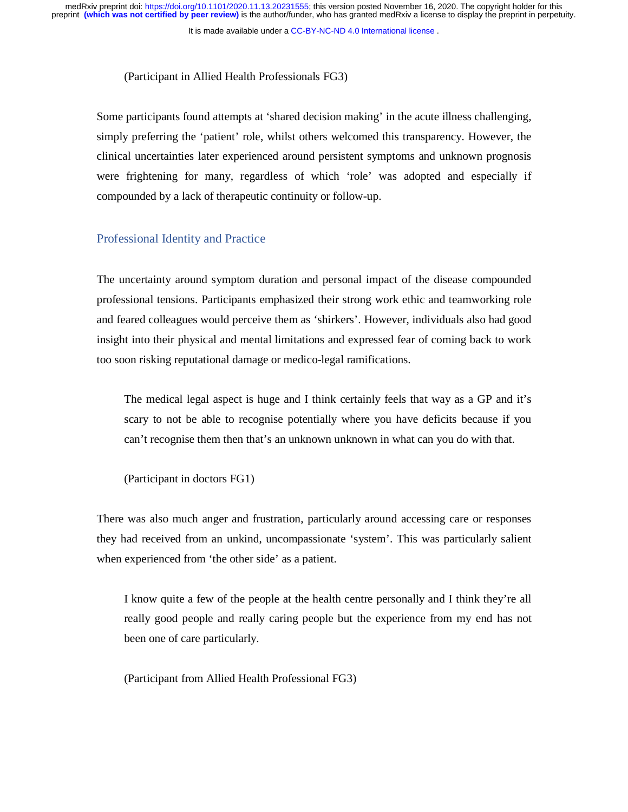It is made available under a [CC-BY-NC-ND 4.0 International license](http://creativecommons.org/licenses/by-nc-nd/4.0/) .

#### (Participant in Allied Health Professionals FG3)

Some participants found attempts at 'shared decision making' in the acute illness challenging, simply preferring the 'patient' role, whilst others welcomed this transparency. However, the clinical uncertainties later experienced around persistent symptoms and unknown prognosis were frightening for many, regardless of which 'role' was adopted and especially if compounded by a lack of therapeutic continuity or follow-up.

#### Professional Identity and Practice

The uncertainty around symptom duration and personal impact of the disease compounded professional tensions. Participants emphasized their strong work ethic and teamworking role and feared colleagues would perceive them as 'shirkers'. However, individuals also had good insight into their physical and mental limitations and expressed fear of coming back to work too soon risking reputational damage or medico-legal ramifications.

The medical legal aspect is huge and I think certainly feels that way as a GP and it's scary to not be able to recognise potentially where you have deficits because if you can't recognise them then that's an unknown unknown in what can you do with that.

(Participant in doctors FG1)

There was also much anger and frustration, particularly around accessing care or responses they had received from an unkind, uncompassionate 'system'. This was particularly salient when experienced from 'the other side' as a patient.

I know quite a few of the people at the health centre personally and I think they're all really good people and really caring people but the experience from my end has not been one of care particularly.

(Participant from Allied Health Professional FG3)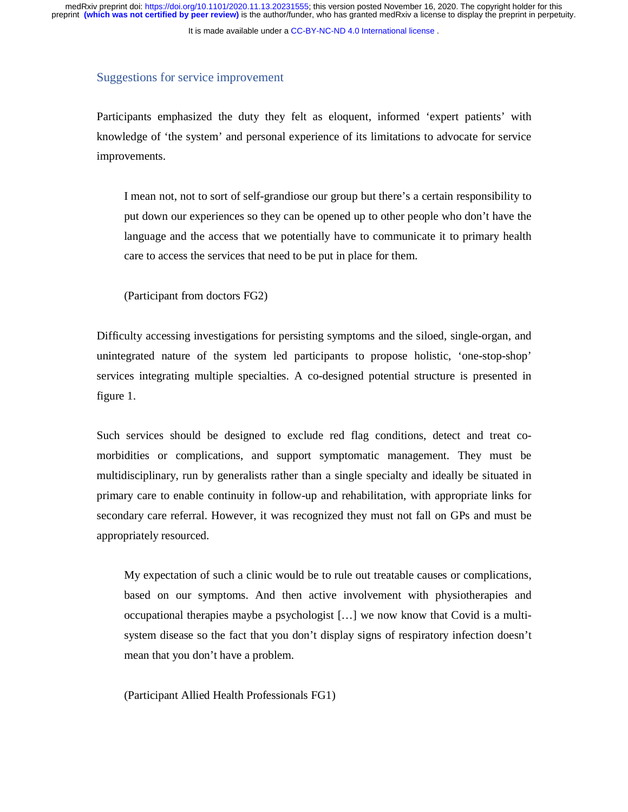#### Suggestions for service improvement

Participants emphasized the duty they felt as eloquent, informed 'expert patients' with knowledge of 'the system' and personal experience of its limitations to advocate for service improvements.

I mean not, not to sort of self-grandiose our group but there's a certain responsibility to put down our experiences so they can be opened up to other people who don't have the language and the access that we potentially have to communicate it to primary health care to access the services that need to be put in place for them.

(Participant from doctors FG2)

Difficulty accessing investigations for persisting symptoms and the siloed, single-organ, and unintegrated nature of the system led participants to propose holistic, 'one-stop-shop' services integrating multiple specialties. A co-designed potential structure is presented in figure 1.

Such services should be designed to exclude red flag conditions, detect and treat comorbidities or complications, and support symptomatic management. They must be multidisciplinary, run by generalists rather than a single specialty and ideally be situated in primary care to enable continuity in follow-up and rehabilitation, with appropriate links for secondary care referral. However, it was recognized they must not fall on GPs and must be appropriately resourced.

My expectation of such a clinic would be to rule out treatable causes or complications, based on our symptoms. And then active involvement with physiotherapies and occupational therapies maybe a psychologist […] we now know that Covid is a multisystem disease so the fact that you don't display signs of respiratory infection doesn't mean that you don't have a problem.

(Participant Allied Health Professionals FG1)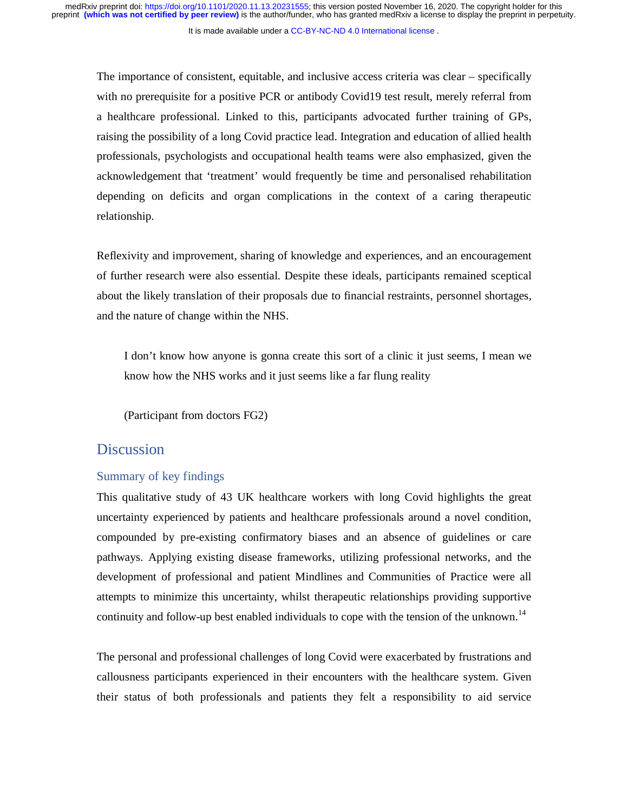It is made available under a [CC-BY-NC-ND 4.0 International license](http://creativecommons.org/licenses/by-nc-nd/4.0/) .

The importance of consistent, equitable, and inclusive access criteria was clear – specifically with no prerequisite for a positive PCR or antibody Covid19 test result, merely referral from a healthcare professional. Linked to this, participants advocated further training of GPs, raising the possibility of a long Covid practice lead. Integration and education of allied health professionals, psychologists and occupational health teams were also emphasized, given the acknowledgement that 'treatment' would frequently be time and personalised rehabilitation depending on deficits and organ complications in the context of a caring therapeutic relationship.

Reflexivity and improvement, sharing of knowledge and experiences, and an encouragement of further research were also essential. Despite these ideals, participants remained sceptical about the likely translation of their proposals due to financial restraints, personnel shortages, and the nature of change within the NHS.

I don't know how anyone is gonna create this sort of a clinic it just seems, I mean we know how the NHS works and it just seems like a far flung reality

(Participant from doctors FG2)

## **Discussion**

#### Summary of key findings

This qualitative study of 43 UK healthcare workers with long Covid highlights the great uncertainty experienced by patients and healthcare professionals around a novel condition, compounded by pre-existing confirmatory biases and an absence of guidelines or care pathways. Applying existing disease frameworks, utilizing professional networks, and the development of professional and patient Mindlines and Communities of Practice were all attempts to minimize this uncertainty, whilst therapeutic relationships providing supportive continuity and follow-up best enabled individuals to cope with the tension of the unknown.<sup>14</sup>

The personal and professional challenges of long Covid were exacerbated by frustrations and callousness participants experienced in their encounters with the healthcare system. Given their status of both professionals and patients they felt a responsibility to aid service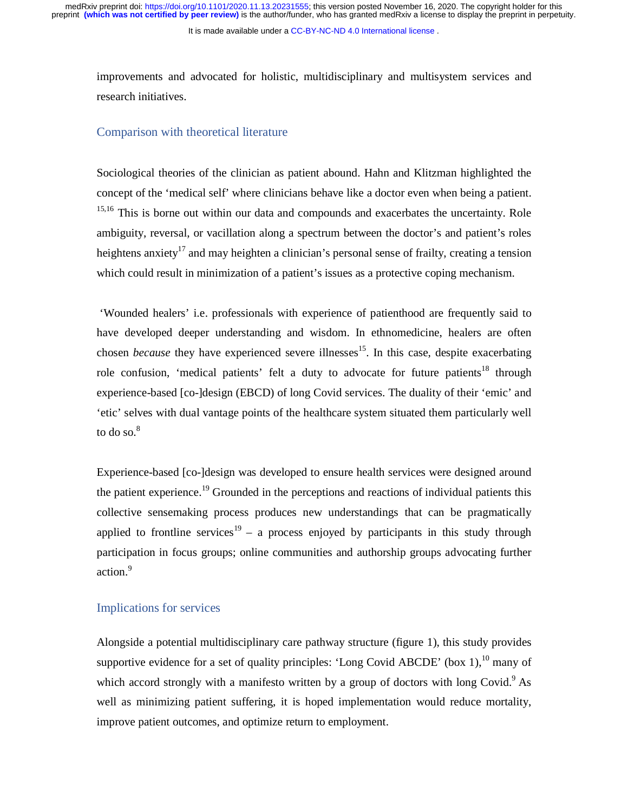It is made available under a [CC-BY-NC-ND 4.0 International license](http://creativecommons.org/licenses/by-nc-nd/4.0/) .

improvements and advocated for holistic, multidisciplinary and multisystem services and research initiatives.

#### Comparison with theoretical literature

Sociological theories of the clinician as patient abound. Hahn and Klitzman highlighted the concept of the 'medical self' where clinicians behave like a doctor even when being a patient. <sup>15,16</sup> This is borne out within our data and compounds and exacerbates the uncertainty. Role ambiguity, reversal, or vacillation along a spectrum between the doctor's and patient's roles heightens anxiety<sup>17</sup> and may heighten a clinician's personal sense of frailty, creating a tension which could result in minimization of a patient's issues as a protective coping mechanism.

 'Wounded healers' i.e. professionals with experience of patienthood are frequently said to have developed deeper understanding and wisdom. In ethnomedicine, healers are often chosen *because* they have experienced severe illnesses<sup>15</sup>. In this case, despite exacerbating role confusion, 'medical patients' felt a duty to advocate for future patients<sup>18</sup> through experience-based [co-]design (EBCD) of long Covid services. The duality of their 'emic' and 'etic' selves with dual vantage points of the healthcare system situated them particularly well to do so. $8<sup>8</sup>$ 

Experience-based [co-]design was developed to ensure health services were designed around the patient experience.<sup>19</sup> Grounded in the perceptions and reactions of individual patients this collective sensemaking process produces new understandings that can be pragmatically applied to frontline services<sup>19</sup> – a process enjoyed by participants in this study through participation in focus groups; online communities and authorship groups advocating further action.<sup>9</sup>

#### Implications for services

Alongside a potential multidisciplinary care pathway structure (figure 1), this study provides supportive evidence for a set of quality principles: 'Long Covid ABCDE' (box 1),  $^{10}$  many of which accord strongly with a manifesto written by a group of doctors with long Covid.<sup>9</sup> As well as minimizing patient suffering, it is hoped implementation would reduce mortality, improve patient outcomes, and optimize return to employment.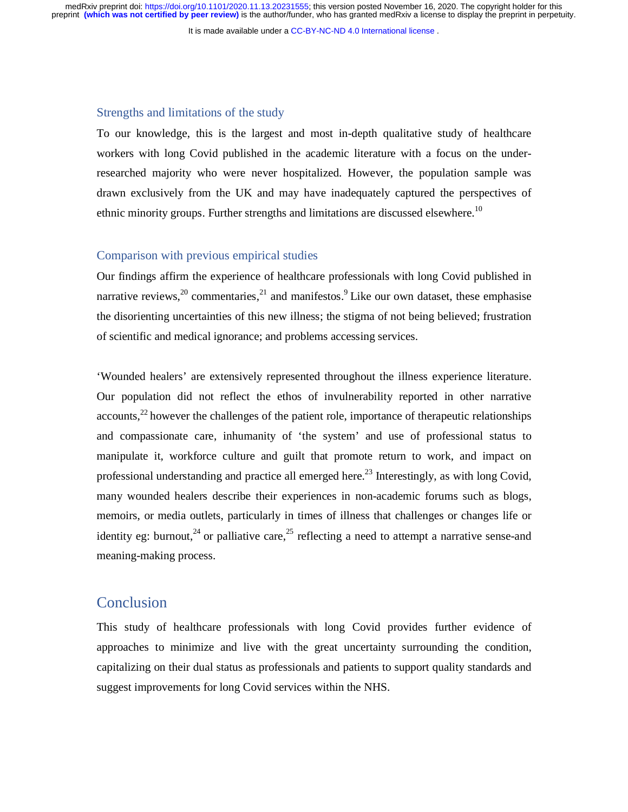It is made available under a [CC-BY-NC-ND 4.0 International license](http://creativecommons.org/licenses/by-nc-nd/4.0/) .

#### Strengths and limitations of the study

To our knowledge, this is the largest and most in-depth qualitative study of healthcare workers with long Covid published in the academic literature with a focus on the underresearched majority who were never hospitalized. However, the population sample was drawn exclusively from the UK and may have inadequately captured the perspectives of ethnic minority groups. Further strengths and limitations are discussed elsewhere.<sup>10</sup>

#### Comparison with previous empirical studies

Our findings affirm the experience of healthcare professionals with long Covid published in narrative reviews,  $2^{0}$  commentaries,  $2^{1}$  and manifestos.  $9$  Like our own dataset, these emphasise the disorienting uncertainties of this new illness; the stigma of not being believed; frustration of scientific and medical ignorance; and problems accessing services.

'Wounded healers' are extensively represented throughout the illness experience literature. Our population did not reflect the ethos of invulnerability reported in other narrative  $accounts<sup>22</sup>$  however the challenges of the patient role, importance of therapeutic relationships and compassionate care, inhumanity of 'the system' and use of professional status to manipulate it, workforce culture and guilt that promote return to work, and impact on professional understanding and practice all emerged here.<sup>23</sup> Interestingly, as with long Covid, many wounded healers describe their experiences in non-academic forums such as blogs, memoirs, or media outlets, particularly in times of illness that challenges or changes life or identity eg: burnout,  $^{24}$  or palliative care,  $^{25}$  reflecting a need to attempt a narrative sense-and meaning-making process.

## **Conclusion**

This study of healthcare professionals with long Covid provides further evidence of approaches to minimize and live with the great uncertainty surrounding the condition, capitalizing on their dual status as professionals and patients to support quality standards and suggest improvements for long Covid services within the NHS.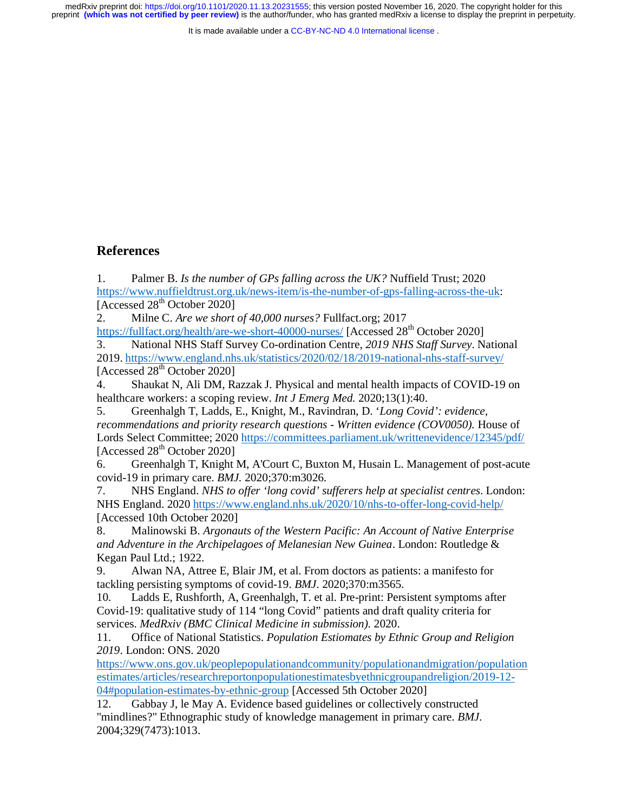It is made available under a CC-BY-NC-ND 4.0 International license.

## **References**

1. Palmer B. *Is the number of GPs falling across the UK?* Nuffield Trust; 2020 https://www.nuffieldtrust.org.uk/news-item/is-the-number-of-gps-falling-across-the-uk: [Accessed 28<sup>th</sup> October 2020]

2. Milne C. *Are we short of 40,000 nurses?* Fullfact.org; 2017 https://fullfact.org/health/are-we-short-40000-nurses/ [Accessed 28<sup>th</sup> October 2020]

3. National NHS Staff Survey Co-ordination Centre, *2019 NHS Staff Survey*. National 2019. https://www.england.nhs.uk/statistics/2020/02/18/2019-national-nhs-staff-survey/ [Accessed 28<sup>th</sup> October 2020]

4. Shaukat N, Ali DM, Razzak J. Physical and mental health impacts of COVID-19 on healthcare workers: a scoping review. *Int J Emerg Med.* 2020;13(1):40.

5. Greenhalgh T, Ladds, E., Knight, M., Ravindran, D. '*Long Covid': evidence, recommendations and priority research questions - Written evidence (COV0050).* House of Lords Select Committee; 2020 https://committees.parliament.uk/writtenevidence/12345/pdf/ [Accessed 28<sup>th</sup> October 2020]

6. Greenhalgh T, Knight M, A'Court C, Buxton M, Husain L. Management of post-acute covid-19 in primary care. *BMJ.* 2020;370:m3026.

7. NHS England. *NHS to offer 'long covid' sufferers help at specialist centres*. London: NHS England. 2020 https://www.england.nhs.uk/2020/10/nhs-to-offer-long-covid-help/ [Accessed 10th October 2020]

8. Malinowski B. *Argonauts of the Western Pacific: An Account of Native Enterprise and Adventure in the Archipelagoes of Melanesian New Guinea*. London: Routledge & Kegan Paul Ltd.; 1922.

9. Alwan NA, Attree E, Blair JM, et al. From doctors as patients: a manifesto for tackling persisting symptoms of covid-19. *BMJ*. 2020;370:m3565.

10. Ladds E, Rushforth, A, Greenhalgh, T. et al. Pre-print: Persistent symptoms after Covid-19: qualitative study of 114 "long Covid" patients and draft quality criteria for services. *MedRxiv (BMC Clinical Medicine in submission).* 2020.

11. Office of National Statistics. *Population Estiomates by Ethnic Group and Religion 2019*. London: ONS. 2020

https://www.ons.gov.uk/peoplepopulationandcommunity/populationandmigration/population estimates/articles/researchreportonpopulationestimatesbyethnicgroupandreligion/2019-12- 04#population-estimates-by-ethnic-group [Accessed 5th October 2020]

12. Gabbay J, le May A. Evidence based guidelines or collectively constructed "mindlines?" Ethnographic study of knowledge management in primary care. *BMJ.* 2004;329(7473):1013.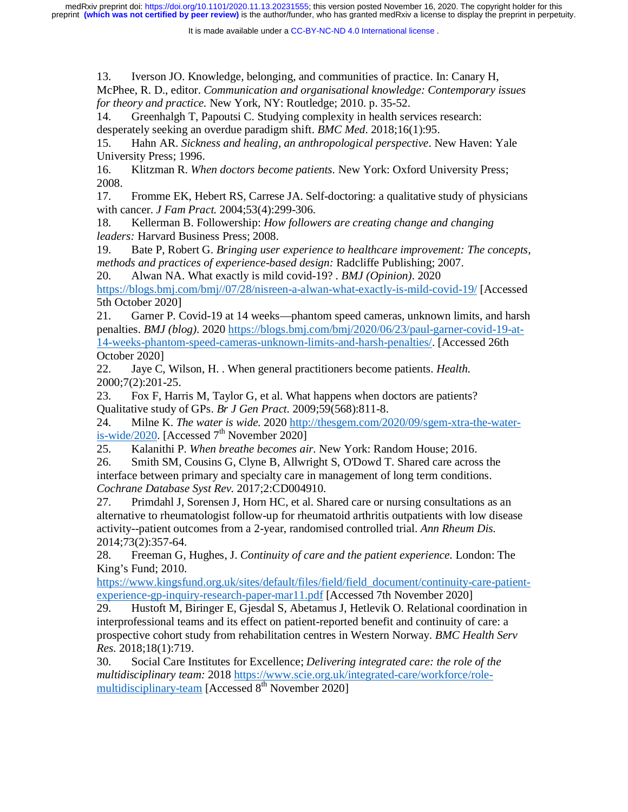It is made available under a CC-BY-NC-ND 4.0 International license.

13. Iverson JO. Knowledge, belonging, and communities of practice. In: Canary H, McPhee, R. D., editor. *Communication and organisational knowledge: Contemporary issues for theory and practice.* New York, NY: Routledge; 2010. p. 35-52.

14. Greenhalgh T, Papoutsi C. Studying complexity in health services research: desperately seeking an overdue paradigm shift. *BMC Med*. 2018;16(1):95.

15. Hahn AR. *Sickness and healing, an anthropological perspective*. New Haven: Yale University Press; 1996.

16. Klitzman R. *When doctors become patients.* New York: Oxford University Press; 2008.

17. Fromme EK, Hebert RS, Carrese JA. Self-doctoring: a qualitative study of physicians with cancer. *J Fam Pract.* 2004;53(4):299-306.

18. Kellerman B. Followership: *How followers are creating change and changing leaders:* Harvard Business Press; 2008.

19. Bate P, Robert G. *Bringing user experience to healthcare improvement: The concepts, methods and practices of experience-based design:* Radcliffe Publishing; 2007.

20. Alwan NA. What exactly is mild covid-19? . *BMJ (Opinion)*. 2020 https://blogs.bmj.com/bmj//07/28/nisreen-a-alwan-what-exactly-is-mild-covid-19/ [Accessed 5th October 2020]

21. Garner P. Covid-19 at 14 weeks—phantom speed cameras, unknown limits, and harsh penalties. *BMJ (blog)*. 2020 https://blogs.bmj.com/bmj/2020/06/23/paul-garner-covid-19-at-14-weeks-phantom-speed-cameras-unknown-limits-and-harsh-penalties/. [Accessed 26th October 2020]

22. Jaye C, Wilson, H. . When general practitioners become patients. *Health.* 2000;7(2):201-25.

23. Fox F, Harris M, Taylor G, et al. What happens when doctors are patients? Qualitative study of GPs. *Br J Gen Pract.* 2009;59(568):811-8.

24. Milne K. *The water is wide.* 2020 http://thesgem.com/2020/09/sgem-xtra-the-wateris-wide/2020. [Accessed  $7<sup>th</sup>$  November 2020]

25. Kalanithi P. *When breathe becomes air.* New York: Random House; 2016.

26. Smith SM, Cousins G, Clyne B, Allwright S, O'Dowd T. Shared care across the interface between primary and specialty care in management of long term conditions. *Cochrane Database Syst Rev.* 2017;2:CD004910.

27. Primdahl J, Sorensen J, Horn HC, et al. Shared care or nursing consultations as an alternative to rheumatologist follow-up for rheumatoid arthritis outpatients with low disease activity--patient outcomes from a 2-year, randomised controlled trial. *Ann Rheum Dis.* 2014;73(2):357-64.

28. Freeman G, Hughes, J. *Continuity of care and the patient experience.* London: The King's Fund; 2010.

https://www.kingsfund.org.uk/sites/default/files/field/field\_document/continuity-care-patientexperience-gp-inquiry-research-paper-mar11.pdf [Accessed 7th November 2020]

29. Hustoft M, Biringer E, Gjesdal S, Abetamus J, Hetlevik O. Relational coordination in interprofessional teams and its effect on patient-reported benefit and continuity of care: a prospective cohort study from rehabilitation centres in Western Norway. *BMC Health Serv Res.* 2018;18(1):719.

30. Social Care Institutes for Excellence; *Delivering integrated care: the role of the multidisciplinary team:* 2018 https://www.scie.org.uk/integrated-care/workforce/rolemultidisciplinary-team [Accessed  $8<sup>th</sup>$  November 2020]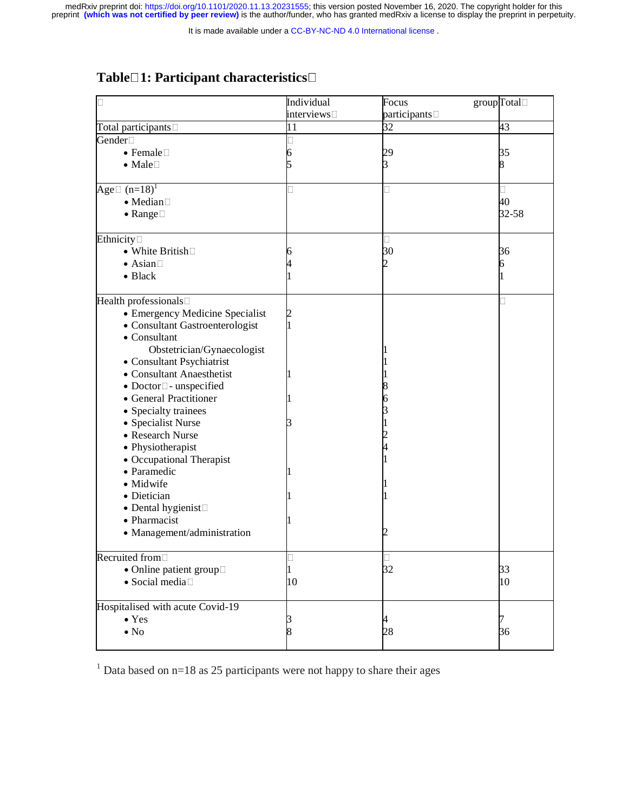It is made available under a [CC-BY-NC-ND 4.0 International license](http://creativecommons.org/licenses/by-nc-nd/4.0/) .

## **Table1: Participant characteristics**

| □                                       | Individual     | groupTotal<br>Focus    |       |
|-----------------------------------------|----------------|------------------------|-------|
|                                         | interviews□    | participants $\square$ |       |
| Total participants□                     | 11             | 32                     | 43    |
| Gender <sup>[1]</sup>                   |                |                        |       |
| $\bullet$ Female $\Box$                 |                | 29                     | 35    |
| • Male $\square$                        |                | 3                      | 8     |
|                                         |                |                        |       |
| Age $\Box$ (n=18) <sup>1</sup>          |                | ┚                      | П     |
| $\bullet$ Median $\Box$                 |                |                        | 40    |
| $\bullet$ Range $\Box$                  |                |                        | 32-58 |
| Ethnicity $\square$                     |                |                        |       |
| • White British <sup>[1]</sup>          |                | 30                     | 36    |
| $\bullet$ Asian                         |                |                        | 6     |
| $\bullet$ Black                         |                |                        |       |
|                                         |                |                        |       |
| Health professionals <sup>[1]</sup>     |                |                        | П     |
| • Emergency Medicine Specialist         | $\overline{c}$ |                        |       |
| • Consultant Gastroenterologist         |                |                        |       |
| • Consultant                            |                |                        |       |
| Obstetrician/Gynaecologist              |                |                        |       |
| • Consultant Psychiatrist               |                |                        |       |
| • Consultant Anaesthetist               |                |                        |       |
| • Doctor <sup>[]</sup> -unspecified     |                |                        |       |
| • General Practitioner                  |                |                        |       |
| • Specialty trainees                    |                |                        |       |
| • Specialist Nurse                      |                |                        |       |
| • Research Nurse                        |                |                        |       |
| • Physiotherapist                       |                |                        |       |
|                                         |                |                        |       |
| • Occupational Therapist<br>• Paramedic |                |                        |       |
|                                         |                |                        |       |
| • Midwife                               |                |                        |       |
| • Dietician                             |                |                        |       |
| • Dental hygienist                      |                |                        |       |
| • Pharmacist                            |                |                        |       |
| • Management/administration             |                |                        |       |
| Recruited from□                         |                |                        |       |
| • Online patient group $\square$        |                | 32                     | 33    |
| $\bullet$ Social media                  | 10             |                        | 10    |
| Hospitalised with acute Covid-19        |                |                        |       |
| $\bullet$ Yes                           |                | 4                      | 7     |
| $\bullet$ No                            |                | 28                     | 36    |
|                                         |                |                        |       |

<sup>1</sup> Data based on  $n=18$  as 25 participants were not happy to share their ages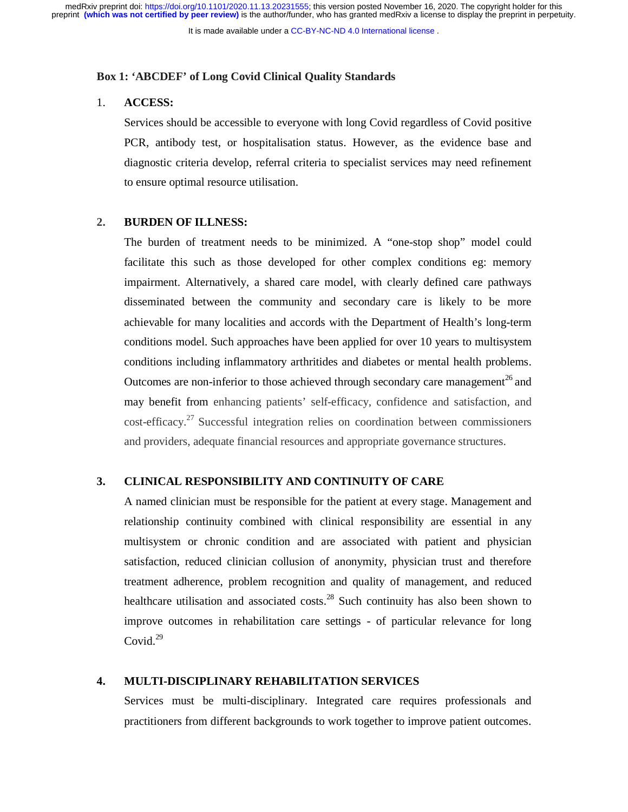#### **Box 1: 'ABCDEF' of Long Covid Clinical Quality Standards**

#### 1. **ACCESS:**

Services should be accessible to everyone with long Covid regardless of Covid positive PCR, antibody test, or hospitalisation status. However, as the evidence base and diagnostic criteria develop, referral criteria to specialist services may need refinement to ensure optimal resource utilisation.

#### **2. BURDEN OF ILLNESS:**

The burden of treatment needs to be minimized. A "one-stop shop" model could facilitate this such as those developed for other complex conditions eg: memory impairment. Alternatively, a shared care model, with clearly defined care pathways disseminated between the community and secondary care is likely to be more achievable for many localities and accords with the Department of Health's long-term conditions model. Such approaches have been applied for over 10 years to multisystem conditions including inflammatory arthritides and diabetes or mental health problems. Outcomes are non-inferior to those achieved through secondary care management<sup>26</sup> and may benefit from enhancing patients' self-efficacy, confidence and satisfaction, and cost-efficacy.27 Successful integration relies on coordination between commissioners and providers, adequate financial resources and appropriate governance structures.

#### **3. CLINICAL RESPONSIBILITY AND CONTINUITY OF CARE**

A named clinician must be responsible for the patient at every stage. Management and relationship continuity combined with clinical responsibility are essential in any multisystem or chronic condition and are associated with patient and physician satisfaction, reduced clinician collusion of anonymity, physician trust and therefore treatment adherence, problem recognition and quality of management, and reduced healthcare utilisation and associated costs.<sup>28</sup> Such continuity has also been shown to improve outcomes in rehabilitation care settings - of particular relevance for long Covid. $29$ 

#### **4. MULTI-DISCIPLINARY REHABILITATION SERVICES**

Services must be multi-disciplinary. Integrated care requires professionals and practitioners from different backgrounds to work together to improve patient outcomes.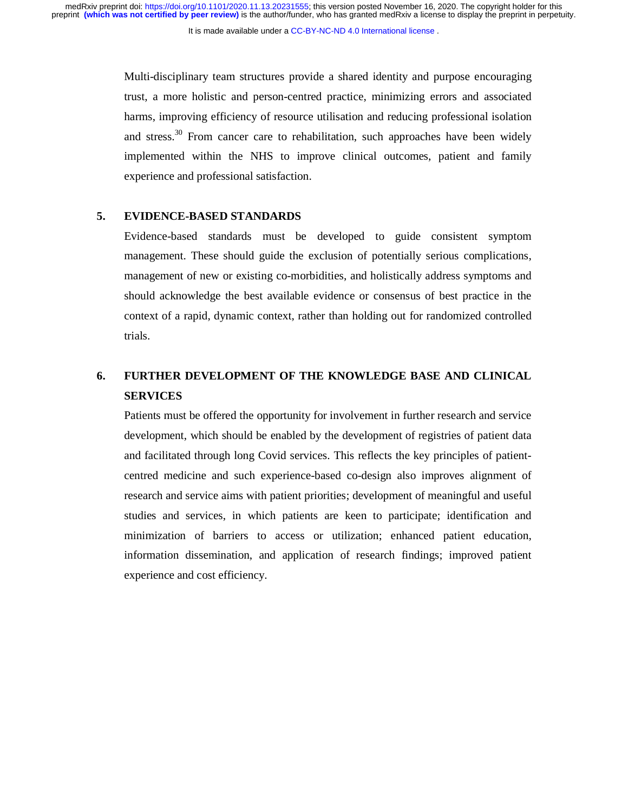It is made available under a [CC-BY-NC-ND 4.0 International license](http://creativecommons.org/licenses/by-nc-nd/4.0/) .

Multi-disciplinary team structures provide a shared identity and purpose encouraging trust, a more holistic and person-centred practice, minimizing errors and associated harms, improving efficiency of resource utilisation and reducing professional isolation and stress.<sup>30</sup> From cancer care to rehabilitation, such approaches have been widely implemented within the NHS to improve clinical outcomes, patient and family experience and professional satisfaction.

#### **5. EVIDENCE-BASED STANDARDS**

Evidence-based standards must be developed to guide consistent symptom management. These should guide the exclusion of potentially serious complications, management of new or existing co-morbidities, and holistically address symptoms and should acknowledge the best available evidence or consensus of best practice in the context of a rapid, dynamic context, rather than holding out for randomized controlled trials.

## **6. FURTHER DEVELOPMENT OF THE KNOWLEDGE BASE AND CLINICAL SERVICES**

Patients must be offered the opportunity for involvement in further research and service development, which should be enabled by the development of registries of patient data and facilitated through long Covid services. This reflects the key principles of patientcentred medicine and such experience-based co-design also improves alignment of research and service aims with patient priorities; development of meaningful and useful studies and services, in which patients are keen to participate; identification and minimization of barriers to access or utilization; enhanced patient education, information dissemination, and application of research findings; improved patient experience and cost efficiency.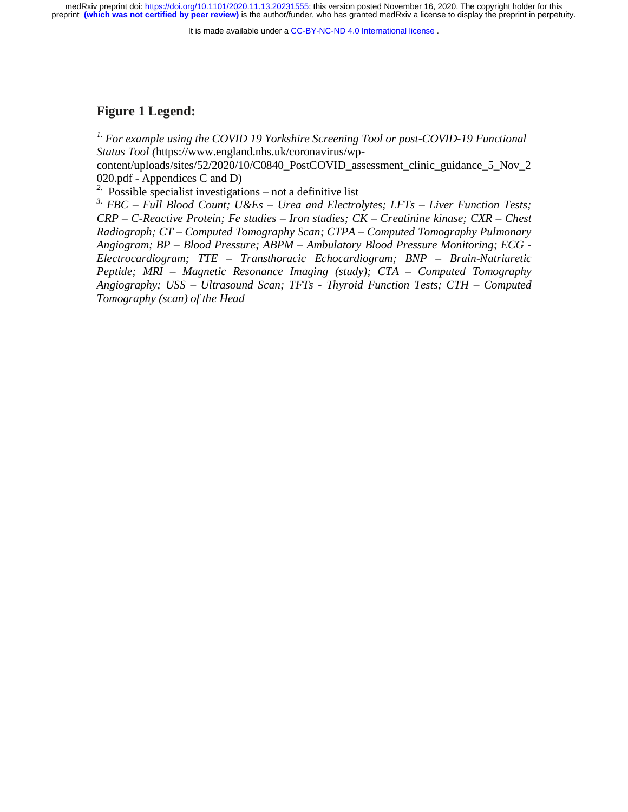It is made available under a [CC-BY-NC-ND 4.0 International license](http://creativecommons.org/licenses/by-nc-nd/4.0/) .

#### **Figure 1 Legend:**

*1. For example using the COVID 19 Yorkshire Screening Tool or post-COVID-19 Functional Status Tool (*https://www.england.nhs.uk/coronavirus/wp-

content/uploads/sites/52/2020/10/C0840\_PostCOVID\_assessment\_clinic\_guidance\_5\_Nov\_2 020.pdf - Appendices C and D)

<sup>2</sup>. Possible specialist investigations – not a definitive list

*3. FBC – Full Blood Count; U&Es – Urea and Electrolytes; LFTs – Liver Function Tests; CRP – C-Reactive Protein; Fe studies – Iron studies; CK – Creatinine kinase; CXR – Chest Radiograph; CT – Computed Tomography Scan; CTPA – Computed Tomography Pulmonary Angiogram; BP – Blood Pressure; ABPM – Ambulatory Blood Pressure Monitoring; ECG - Electrocardiogram; TTE – Transthoracic Echocardiogram; BNP – Brain-Natriuretic Peptide; MRI – Magnetic Resonance Imaging (study); CTA – Computed Tomography Angiography; USS – Ultrasound Scan; TFTs - Thyroid Function Tests; CTH – Computed Tomography (scan) of the Head*